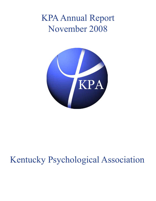# KPA Annual Report November 2008



# Kentucky Psychological Association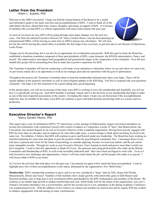# **Letter from the President**

Robin L. Sublett, PhD

Welcome to the 2008 Convention! I hope you find the Annual Report of the Board to be a useful and informative guide to the many activities and accomplishments of KPA. I want to thank all of the individuals who have shared their time, money, thoughts, and energy in support of KPA. It is because of members like you that KPA is a vibrant organization with many achievements this past year.

As most of you know by now, KPA will be going through some major changes over the next two years. Our beloved, talented Executive Director, Dr. Nancy Gordon Moore, who has been pursuing an entrepreneurial MBA, will be leaving us some time in 2009 to pursue new adventures. We will miss

her but she will be leaving the central office in probably the best shape it has ever been, in part also due to our Director of Operations, Leslie Proasi.

Change can be disconcerting, but it can also be an opportunity for revitalization and growth. With this goal in mind, the Board has established a transition committee composed of three past presidents of KPA, a past treasurer, the KPAGS representative, Nancy, and myself. We endeavored to encompass both geographical and generational ranges in the composition of the committee. Over the next months this group will be researching how best to make this a positive experience for KPA.

The Transition Committee will also be conducting a self-study of our operations to determine where we are and where we want to be. As previously stated, this is an opportunity to look at our strategic plan and our operations with the goal of optimization.

Throughout this process the Transition Committee plans to keep the membership informed and values your input. There will be regular updates in the quarterly newsletter as well as more frequent updates in the KPA blog. Feel free to respond with your questions/ comments. Our hope is for this transition to be a good ending and a good beginning.

In the annual report, you will see an account of the many ways KPA is working to serve the membership and, hopefully, you will see how it is specifically serving you. Each KPA member is strongly valued, and it is the diversity of our membership that helps to make us one of the most respected associations in the country. In reading this report, I hope you can feel proud of the accomplishments made but, also, be mindful of the many ways KPA can continue to grow and better promote psychology both as a science and as a profession.

# **Executive Director's Report**

Nancy Gordon Moore, PhD

This report caps a year of celebrations (KPA's 75<sup>th</sup> anniversary events, passage of federal parity, largest convention attendance on record, first community-wide conference) mixed with a touch of sadness as I experience a series of "lasts" (last Board retreat, last Convention, last Annual Report) in my role as Executive Director of this wonderful organization. Having been actively engaged with KPA for more than two decades, and an employee for more than eight years, it seems strange to think about not being involved in the same way. Nevertheless, I believe that KPA will continue to grow and flourish under new leadership. The Board has been working on transition planning for some time and plans to post the position within the psychological community first. I encourage those of you who have a passion and vision for the future of psychology to consider applying, because we need your talents, and the job carries many intangible rewards. Through my work as your Executive Director, I have learned so much and grown more than I could ever have imagined. I want to take this opportunity to thank all of you - the generous and caring professionals who make up the Boards, Committees and Membership of KPA, as well as the incredibly dedicated staff - that I have been privileged to work with. Even as I look forward to new challenges and opportunities, I know I will miss much about the job and the people who make it so special. I will always think of KPA as my home.

As I review the activities that took place over the past year, I am amazed yet again at how much has been accomplished. I want to highlight just a few of those accomplishments in this report, delineated by the organization's five "Bold Goals."

**Membership**: KPA's membership continues to grow, and we are now considered a "large" state by APA, along with Florida, Massachusetts, Illinois and Texas! Numbers of full members show steady growth, with noteworthy gains in both Masters and Doctoral members, due in large part to new recruitment efforts spearheaded by the KPA Ambassadors and members of the Board. We continue to see double digit growth in student membership each year, which bodes well for the future of the organization. Last year's Annual Convention attendance was a record-breaker, and for the second year in a row, attendance at the Spring Academic Conference was at phenomenal levels. With the addition of new listservs to connect our members by interest area and by region, KPA has worked to enhance engagement with and among its many constituencies.

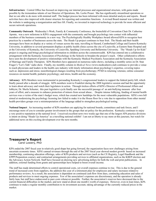**Infrastructure**: Central Office has focused on improving our internal processes and organizational structure, with gains made possible by the tremendous talents of our Director of Operations, Ms. Leslie Proasi. She has significantly streamlined operations so that we are able to do more with minimal staff. The budget process has been informed with more detailed analysis and reports. Board activities have also improved with clearer structure for reporting and committee functions. A revised Board manual was written and the website is undergoing a reorganization and face lift. Finally, we invested in improved technology to provide for more efficient and secure network operations.

**Community Outreach**: Wednesday's Work, Family & Community Conference, the brainchild of Convention Chair Dr. Catherine Aponte, was a new milestone in KPA's engagement with the community and brought psychology into contact with influential members of the business community in a new way. The Psychologically Healthy Workplace Award allowed KPA to recognize best practices by a number of businesses across the state. The Heads Up project continues to bear fruit. The Heads and their health messages have been on display at a variety of venues across the state, travelling to Hazard, Cumberland College and Eastern Kentucky University, in addition to several permanent displays at public health clinics across the city of Louisville, at Eastern State Hospital and at the University of Kentucky, the University of Louisville, Spalding University and Bellarmine University. The "Heads Up for Kids" project is ongoing and brings psychological information to children across the commonwealth. KPA has entered into a collaborative arrangement with the Kentucky Association of Psychology in the Schools to broaden the project's reach. Other collaborative efforts have seen the development of positive relationships with the Kentucky Medical Psychiatric Association and the Kentucky Association of Marriage and Family Therapists. KPA Members have appeared on numerous radio shows, including a monthly series on Dr. Stan Frager's "Let's Talk" radio show. Finally, my monthly column in *Medical News* (www.medicalnews.md) continues to provide a venue to reach physicians and leaders in the health care industry with timely information about psychology's expertise, covering topics such as: depression and stress; neurobiological changes resulting from psychotherapy; PTSD in returning veterans; online consumer resources on mental health; pediatric psychology; and stress, health and the economy.

**Advocacy**: KPA Members were instrumental in persuading Kentucky's congressional leaders to support the federal parity bill, which finally passed after a decade of struggle. KPA members went to Frankfort during the 2008 legislative session and had the opportunity to learn about advocacy and watch their legislators in action. Through tireless efforts of KPA's Director of Professional Affairs and lobbyist, Dr. Sheila Schuster, this past legislative cycle finally saw the successful passage of an anti-bullying measure after four years of effort, and a measure to enhance protection of minors from sexual abuse.. Despite intense lobbying, funding of mental health services was a victim of the state's budget woes, which has created new hardships for the most vulnerable populations. KPA's own bill aimed at modernizing the psychology licensing law failed to make it to the House floor for a vote due to opposition from other mental health providers groups over a misinterpretation of the language added to strengthen psychological testing.

**National Impact**: An increasing number of KPA members are applying for national boards, committees and task forces, and I encourage more of you to consider greater involvement in the groups that set policy for the profession. Kentucky continues to enjoy a very positive reputation at the national level. I received excellent news two weeks ago that one of the largest APA practice divisions is intent on doing "Heads Up America" as a travelling national exhibit! I am not at liberty to say more at this juncture, but watch for additional news on this exciting development over the next months.

# **Treasurer's Report**

Carol Lowery, PhD

KPA ended the 2007 fiscal year in relatively good shape but going forward, the organization faces new challenges arising from uncertain economic times. KPA's annual revenues through the end of the 2007 fiscal year showed modest growth based on increased membership, continuing education offerings, sales of KPA products and services (such as the CE Registry, Legal Handbook and the EPPP Preparation course), and contractual arrangements providing services to affiliated organizations, such as the KBEP election and the Advocacy Action Network. Staff have focused on drawing new advertising dollars for both the web and print publications. In addition, external funding from grants and sponsorships have helped to boost overall income.

The staff has made determined efforts to control operational costs, yet overall expenses continue to rise. This is due to the general trend of increased costs from suppliers, the addition this year of a retirement plan for employees and salary increases related to performance reviews. As a result, the association is dependent on continued cash flow from dues, continuing education and sales of products and services to meet ongoing expenses. Few of the association's expenses are discretionary, and the operation is already fairly lean, but staff have endeavored to pare costs whenever possible. Further, the association's reserves have decreased due to the current financial difficulties in the market, and now stand at about one month's worth of expenses. However, even in lean times, KPA continues to make a regular monthly contribution to its investment account, taking advantage of the currently reduced prices in the market.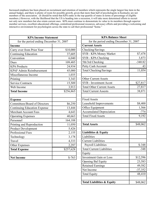Increased emphasis has been placed on recruitment and retention of members which represents the single largest line item in the annual budget, and there is plenty of room for possible growth, given that more than half of psychologists in Kentucky are not members of the association. (It should be noted that KPA ranks in the top quartile of states in terms of percentage of eligible members.) However, with the likelihood that the US is heading into a recession, it will take more determined efforts to recruit not only new members but also retain current ones. KPA must continue to demonstrate its value to its members through superior member services, excellent educational offerings, centralized professional resources, advocacy efforts and providing a welcoming and interactive environment for psychologists across the state to call their professional "home."

| <b>KPA Income Statement</b>             |           |
|-----------------------------------------|-----------|
| for the period ending December 31, 2007 |           |
| <b>Income</b>                           |           |
| Carry over from Prior Year              | \$10,000  |
| <b>Continuing Education</b>             | 37,605    |
| Convention                              | 6,040     |
| Dues                                    | 109,485   |
| <b>KPA Products</b>                     | 24,934    |
| <b>KPAF Admin Reimbursement</b>         | 45,000    |
| Miscellaneous Income                    | 1,035     |
| Printing                                | 3,343     |
| <b>Service Contracts</b>                | 15,509    |
| Web Income                              | 3,913     |
| <b>Total Income</b>                     | \$256,865 |
|                                         |           |
| <b>Expense</b>                          |           |
| <b>Committees/Board of Directors</b>    | \$6,250   |
| <b>Continuing Education Expense</b>     | 13,444    |
| <b>Merchant Account Fees</b>            | 4,643     |
| <b>Operating Expenses</b>               | 40,663    |
| Personnel                               | 164,188   |
| Printing and Reproduction               | 11,050    |
| <b>Product Development</b>              | 5,426     |
| <b>Professional Fees</b>                | 2,155     |
| Technology                              | 3,178     |
| Travel                                  | 4,333     |
| <b>Other Expenses</b>                   | 2,297     |
| <b>Total Expense</b>                    | \$257,628 |
|                                         |           |
| <b>Net Income</b>                       | $$-763$   |

| <b>KPA Balance Sheet</b>                |           |
|-----------------------------------------|-----------|
| for the period ending December 31, 2007 |           |
| <b>Current Assets</b>                   |           |
| Checking/Savings                        |           |
| SYB - KPA Money Market                  | \$7,478   |
| SYB - KPA Checking                      | 3,873     |
| 5th/3rd Checking                        | $-340.82$ |
| Petty Cash Account                      | 43        |
| <b>Total Checking/Savings</b>           | 11,054    |
|                                         |           |
| <b>Other Current Assets</b>             |           |
| <b>SYB</b> - Investment Accnt           | \$27,817  |
| <b>Total Other Current Assets</b>       | 27,817    |
| <b>Total Current Assests</b>            | 38,871    |
|                                         |           |
| <b>Fixed Assets</b>                     |           |
| Leasehold Improvements                  | \$8,400   |
| Office Equipment                        | 1,566     |
| <b>Accumulated Depreciation</b>         | $-774$    |
| <b>Total Fixed Assets</b>               | 9,192     |
|                                         |           |
| <b>Total Assets</b>                     | \$48,062  |
|                                         |           |
| <b>Liabilities &amp; Equity</b>         |           |
| Liabilities                             |           |
| <b>Current Liabilities</b>              |           |
| Payroll Liabilities                     | $$-348$   |
| <b>Total Current Liabilities</b>        | $-348$    |
| Equity                                  |           |
| <b>Investment Gain or Loss</b>          | \$12,596  |
| Opening Bal Equity                      | 23,583    |
| <b>Retained Earnings</b>                | 49,582    |
| Net Income                              | $-37,352$ |
| <b>Total Equity</b>                     | 48,410    |
|                                         |           |
| <b>Total Liabilities &amp; Equity</b>   | \$48,062  |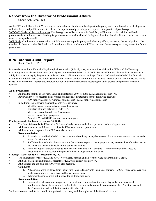# **Report from the Director of Professional Affairs**

Sheila Schuster, PhD

As the DPA and lobbyist for KPA, it is my job to be a liaison for the membership with the policy-makers in Frankfort, with all payers and with the general public in order to enhance the reputation of psychology and to protect the practice of psychology.

2007-2008 Goals and Accomplishments: Psychology was well-represented in Frankfort, as KPA worked in coalitions with other groups to advocate for increased funding for public-sector mental health and for higher education. Social policy and health care issues were on the agenda as well.

2009 Goals: Continue the representation of KPA's members in public policy and advocacy efforts, increasing the participation of the members in these activities. Work will be focused primarily on students and ECPs to develop the necessary advocacy forces for future generations.

# **KPA Internal Audit Report**

Robin Sublett, PhD

In accordance with the Kentucky Psychological Association (KPA) bylaws, an annual financial audit of KPA and the Kentucky Psychological Association Foundation (KPAF) was completed on February 28, 2008. Because KPA had changed its fiscal year from a July 1 start to January 1, the year was reviewed in two half-year audits to catch up. The Audit Committee included Joe Edwards, PsyD, Sam Stodghill, PsyD, and Robin Sublett, PhD. Nancy Gordon Moore, PhD, Executive Director of KPA and KPAF, and Leslie Proasi, KPA Director of Operations, provided written and verbal instructions regarding the audit process and pertinent financial records.

## **Audit Procedures:**

- Audited the months of February, June, and September 2007 from the KPA checking account (\*83)
- Reviewed invoices, receipts, bank records and reconciled statements for the following accounts: KPA money market, KPA mutual fund account , KPAF money market account
- In addition, the following financial records were reviewed:
	- Monthly deposit statements and payroll expenses
		- Transfers of funds between KPA to KPAF
		- Merchant account (credit card) statements
		- Income from affinity programs
		- Annual KPA and KPAF year-end financial reports

# **Findings – Audit for January 1 – June 30, 2007:**

- The financial records for KPA and KPAF were clearly marked and all receipts were in chronological order.
- All bank statements and financial receipts for KPA were correct upon review.
- All balances and deposits for KPAF were also accurate.

#### **Recommendations:**

- 1. A notation should be included on the statement should any money be removed from an investment account as to the reason for withdrawal.
- 2. Staff should consult with the accountant's Quickbooks expert on the appropriate way to reconcile deferred expenses and to handle uncleared checks after a set period of time.
- 3. There is a regular transfer of funds between the KPAF and KPA accounts. It is recommended that these be accounted for with a receipt to help clarify the exchange amount and dates.

#### **Findings – Audit for July 1 – December 31, 2007:**

- The financial records for KPA and KPAF were clearly marked and all receipts were in chronological order.
- All bank statements and financial receipts for KPA were correct upon review.
- All balances and deposits for KPAF were also accurate.

#### **Comments**

- 1. All accounts were switched from Fifth Third Bank to StockYards Bank as of January 1, 2008. This changeover was made to capitalize on lower fees and better interest rates.
- 2. Retirement accounts were put in place for central office staff.

#### **Recommendations:**

1. Uncleared checks continue to appear on the books several months after issue. Typically these have small reimbursements checks made out to individuals. Recommendation made to note on checks a "must be cashed by date" memo line and void the transaction after that date.

Staff were commended for the excellent organization, accuracy and thoroughness of the financial records.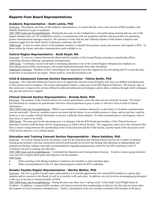# **Reports from Board Representatives**

## **Academic Representative - Scott LaJoie, PhD**

Overview: The purpose and focus of the academic representative is to ensure that the voices and concerns of KPA members who identify themselves as part of academia.

2007-2008 Goals and Accomplishments: During the past year, we have helped host a successful spring meeting that saw one of the highest attendee rates yet. We established a listserv to communicate with our academics and have discussed ideas for generating greater communication amongst ourselves. We continue to work with Joe and Catherine Aponte to find student volunteers and technical support for the Work Family Community conference this fall.

2009 Goals: To host an online survey of the academic members to identify their primary needs and concerns with regards to KPA. To better utilize the listserv and other communication tools available to us.

## **Central Region Representative - Scott Doyel, MA**

Overview: To serve as a liaison between the Board and the members of the Central Region assisting in membership efforts, continuing education offerings, and general communication.

2009 Goals: Coordinate a social event and/or continuing education event in the Central Region with particular emphasis on networking between KPA, psychologists, and mental health professionals from other disciplines.

Additional Comments: Members in the Central Region are requested to provide suggestions for networking and CE events that they would like to see hosted in our region. Please email to: scott.doyel@uhsinc.com

## **Child & Adolescent Interest Section Representative - Felicia Smith, PhD**

Overview: The Child and Adolescent Section serves to support the interests of psychologists who focus on children and adolescents in their practice and in academia. The section representative holds a voting seat on the KPA Board of Directors. The primary aims of this section are to improve the services offered to child and adolescent psychologists, and to allow a medium through which colleagues may provide and receive support.

## **Clinical Interest Section Representative - Brenda Nash, PhD**

Overview: The purpose of the Clinical section is to connect practitioners across the state who are clinically focused. The listserv has functioned as a resource for practitioners who have clinical questions to pose to peers or who have been in need of referral information.

2007-2008 Goals and Accomplishments: Efforts to get members to introduce themselves on the listserv to facilitate communication was not successful. However, members seem to be aware that the listserv is an available resource to them, and several have used the forum as a way to gather referral information or process a difficult client situation. So while communication is not frequent, when it does occur, it seems to be useful.

2009 Goals: The main goal for the upcoming year is to dialogue with the KPA Board and members of the Clinical Section to determine if needs would be better met by reorganizing as an Adult Clinical Section. This suggestion comes out of the realization that there is much overlap between the memberships of the Clinical Section and the Child Section, and that much of the discussion on the Child Section listserve is of a clinical nature.

# **Education and Training Interest Section Representative - Steve Katsikas, PhD**

Overview: As a newly formed section, the primary goals for the Education and Training Interest Section are to define its purpose among group members, develop connections between professionals involved in the training and educating of undergraduate and graduate psychology students, and make recommendations regarding programming content for the KPA conferences and CE workshops relevant to training and education.

2007-2008 Goals and Accomplishments: Constituted the Education and Training Interest Section. Emails to interest group members were sent out to inquire about goals and objectives for the members. 2009 Goals:

- Hold a meeting at the Spring Academic Conference for members to meet and share ideas
- Make recommendations to the CE chair about program content for KPA workshops

#### **Greater Fayette Region Representative - Martha Wetter, PhD**

Overview: My role as greater Fayette region representative is to provide opportunities for current KPA members to express their opinions and/or concerns to the Board, as well as to socialize with each other. In addition, my role involves encouraging psychologists in this area to become or remain members of KPA.

2007-2008 Goals and Accomplishments: During the past year, there was a "spring social" at the Frank Lloyd Wright house in Frankfort. In addition, I contacted KPA members who had not renewed their memberships to find out why they had not (most often the response involved economic considerations). Finally, I participated in the new member recruitment (60 members in 60 days),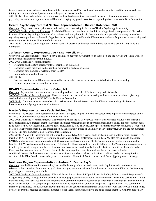taking 4 non-members to lunch, with the result that one person said "no thank you" to membership, two said they are considering joining, and one said she will join as soon as she gets her license number.

2009 Goals: Plans and goals for the coming year include holding another region-wide social event, continuing to encourage psychologists in the area to join or stay in KPA, and bringing any problems or issues psychologists express to the Board's attention.

# **Health Psychology Interest Section Representative - Kristen Rabineau, PhD**

Overview: To generate interest, discussion, education, and networking in the area of Health Psychology in Kentucky. 2007-2008 Goals and Accomplishments: Established listserv for members of Health Psychology Section and generated discussion in areas of Health Psychology. Interviewed prominent health psychologists in the community and provided summary to members regarding issues pertinent to the field. Organized health psychology table at the KPA convention lunch for purpose of networking and generating ideas for future direction of this section.

2009 Goals: Continue generating discussion on listserv, increase membership, and hold one networking event in Louisville and Lexington.

# **Jefferson County Representative - Lisa Powell, PhD**

Overview: As a regional representative I serve as a liaison between KPA members in the region and the KPA board. I also work to promote and sustain membership in KPA.

2007-2008 Goals and Accomplishments:

- Organized and held two social events for members in the region •
- Contacted lapsed members to discuss their membership and any concerns •
- Contacted new member to welcome them to KPA •
- Promoted new member listserve •

2009 Goals:

- Continue to attract new KPA members as well as ensure that current members are satisfied with their membership •
- Organize a spring social event for members •

## **KPAGS Representative - Laura Gabel, MA**

Overview: My role is to increase student membership and make sure that KPA is meeting students' needs.

2007-2008 Goals and Accomplishments: I have worked to increase student membership with several new members registering.

Assisted with planning for the KPAGS Social Hour at Convention

2009 Goals: Continue to increase membership Ask students about different ways that KPA can meet their goals. Increase involvement in the Spring Academic Conference.

#### **Master's Representative - Kecia Fulcher, MA**

Overview: The Master's-level representative position is designed to give a voice to issues/concerns of professionals degreed at the Master's-level or credentialled less than the doctoral-level.

2007-2008 Goals and Accomplishments: The primary goal for the 07-08 year was to increase awareness of KPA to the Master'slevel professionals, to increase membership from this under-represented group of professionals, and to solicit for concerns that need to be addressed by KPA regarding Master's-level professionals. Cay Shawler, KPA's president this past year, and I, sent a letter to all Master's-level professionals that are credentialled by the Kentucky Board of Examiners in Psychology (KBEP) but are not members of KPA. Six new members joined following this solicitation.

2009 Goals: Along with increasing the entire membership of KPA, Cay Shawler and I will again send a letter to solicit current KPA members to "Bring On a Buddy" by recruiting another Master's-level professional to join KPA. We also have plans to encourage CMHC membership and to communicate with Universities that have a terminal Master's program in psychology to promote the benefits of KPA involvement and membership. Additionally, I have agreed to work with Ed Morris, the Western region representative, to split up the Western region and have at least one luncheon social. Additionally, I would like to work with local schools in the Pennyroyal region regarding the "Heads Up- for Kids" campaign for elementary students, before my term is finished. Additional Comments: I welcome any issues/concerns that other Master's-level professionals believe need to be brought to the attention of the KPA Board. I want to be your representative. Please feel free to contact me (kfulcher@pennyroyalcenter.org).

# **Northern Region Representative - Andrea D. Evans, PsyD**

Overview: As the Northern Representative, I am available to my cohorts to assist them in finding information and resources relevant to their practice. I continue my goal of encouraging more practitioners from the area to be active in KPA and the Kentucky psychological community as a whole.

2007-2008 Goals and Accomplishments: KPA and Evans & Associates, PSC participated in the Boyd County Health Department's Longest Day of Play. The goal of the event is to encourage physical activities for all family members. The entire perimeter of Central Park was lined with activities and health information. Community members received a passport that was stamped as they completed tasks at each station. The completed passport could then be submitted for drawings and prizes. Approximately 1500 community members participated. The KPA booth provided mental health educational information and literature. Our activity was a blind-folded obstacle course that required one family member to offer verbal instructions only to the blind-folded member. Children particularly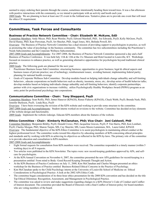seemed to enjoy ordering their parents through the course, sometimes intentionally heading them toward trees. It was a fun afternoon with positive interactions with the community, so we intend to participate with an activity and booth each year. 2009 Goals: We are planning to host at least one CE event in the Ashland area. Tentative plans are to provide one event that will meet the ethics CE requirement.

# **Committees, Task Forces and Consultants**

# **Business of Practice Network Committee - Chair: Elizabeth W. McKune, EdD**

Committee Members: Andy Meyer, PhD, Ryan Wetzler, PsyD, Edward Marshall, PhD, Joe Edwards, PsyD, Kelly McGraw, PsyD, David Hanna, PhD, Kate Perryman, PsyD, Art Shechet, PhD, Angel Jones, MA, Belinda Powell, BA

Overview: The Business of Practice Network Committee has a dual mission of providing support to psychologists in practice, as well as promoting the value of psychology in the business community. The committee has two subcommittees including the Practitioner's Needs Subcommittee and the Corporate Wellness Subcommittee.

2007-2008 Goals and Accomplishments: For 2007-2008, the Business of Practice Network Committee sponsored a day and a half Business of Practice Conference. It was held July 11th & 12th at the 21c Museum and Hotel located in Louisville, KY. Workshops focused on resources to enhance practice, as well as generating alternative opportunities for psychologists beyond traditional clinical practice.

2009 Goals: The following goals are planned for the next year:

- Practitioner Business Issues Sub-Committee: structuring business; opportunities to grow business; legal & ethical aspects and business issues of private practice; use of technology; reimbursement issues; avoiding burnout; implementing federal parity; planning for national health coverage •
- Goals of Corporate Wellness Sub-Committee: Develop modules based on helping individuals change unhealthy and self-limiting behaviors , educate corporations on health behaviors such as obesity, insomnia, stress, etc.; develop series of health behavior talks; develop modules based on helping individuals change unhealthy and self-limiting behaviors; identify corporate partnerships; partner with civic organizations to increase visibility; utilize Psychologically Healthy Workplace Award (PHWA) program as an entry point for professional psychology into corporations. •

# **Communications Committee - Chair: Tony Sheppard, PsyD**

Committee Members: Sean Reilly, PhD, James Hanaver (KPAGS), Renee Flaherty (KPAGS), Chuck Webb, PsyD, Brenda Nash, PhD, Jennifer Burleson, PsyD, Linda Rice, PsyD

Overview: I have been overseeing the revision of the KPA website and working to provide some structure to the committee. 2007-2008 Goals and Accomplishments: Student interns worked on revisions to the website. Committee has decided on key elements of the website design and functionality.

2009 Goals: Implement the website redesign. Educate KPA members about the features of the website.

# **Ethics Committee - Chair: Kimberly McClanahan, PhD; Vice Chair: Joni Caldwell, PhD**

Committee Members: Benjamin Birkby, PsyD, Donald Crowe, PhD, Jacqueline Graven, PsyD, P. Tim Harris, PhD, Ken Lombart, PsyD, Charles Morgan, PhD, Sharon Turpin, MS, Cay Shawler, MS, Laura Moore-Lamminen, MA, Laura Gabel, KPAGS Overview: The fundamental objective of the KPA Ethics Committee is to assist psychologists in maintaining ethical conduct at the highest professional level. The committee works toward this objective by educating members of KPA concerning ethical principles and standards and by working with KPA in achieving its objectives as reflected in the KPA by-laws. The primary role of the committee is to provide education and consultation to KPA members.

2007-2008 Goals and Accomplishments:

- Eight formal requests for consultation from KPA members were received. The committee responded in a timely manner (within 5 working days) to all 8 requests. •
- Two articles were published in the KPA Newsletter. The topics were: new record-keeping guidelines approved by APA, and selfcare for psychologists. •
- At the KPA Annual Convention on November 6, 2007, the committee presented the new APA guidelines for record-keeping in a presentation entitled From mind to Body: Good Record Keeping Demands Thought and Action. •
- At the KPA Business of Practice Conference on July 11, 2008, Kim McClanahan and Charles Morgan presented an ethics workshop for the Business of Practice entitled Business-Related Ethical Concerns in the Practice of Psychology. •
- Kim McClanahan spoke to the Child Psychology interns at the University of Louisville School of Medicine on Ethical Considerations in Psychological Practice: A look at the 2002 APA Ethics Code. •
- The committee began consideration of its three-hour ethics presentation for the 2008 KPA convention and has decided on the title Top Ethical Dilemmas: Recognition, Assessment, and Management in Psychological Practice. •
- The committee was asked to review and make suggestions regarding changes to a KPA Director's Code of Conduct and Conflict of Interest document. The committee provided the Board of Directors with a final Conflict of Interest policy for board members who are voting members of the board. •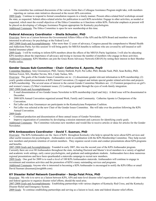The committee has continued discussions of the various forms that a Colleague Assistance Program might take, with members reporting on various state initiatives discussed at the recent APA convention. •

2009 Goals: Continue to respond to formal consultation requests in a timely manner. Present ethics-related brief workshops around the state, as requested. Submit ethics-related articles for publication in each KPA newsletter. Engage in other activities, as needed or requested, which meet the overall objectives of the Ethics Committee as it functions within KPA. Particular emphasis at present will be placed on developing a Colleague Assistance Program appropriate for Kentucky psychologists.

Additional Comments: The Ethics Committee is open for new membership at this time.

# **Federal Advocacy Coordinator – Sheila Schuster, PhD**

Overview: Serve as a Liaison between the Governmental Affairs Office of the APA and the KPA Board and members who are interested in advocacy for psychology at the Federal Level.

2007-2008 Goals and Accomplishments: After more than 12 years of advocacy, Congress passed the comprehensive Mental Health and Addictions Parity Act this session! It will bring parity for MH/SA benefits to millions who are covered by self-insured or selffunded insurance plans!

2009 Goals: I will be working to inform KPA members about the effects of the MH/SA Parity legislation. I will also be educating KPA members about the importance of advocacy and trying to increase the number of members who engage in these activities. Additional Comments: KPA Members can join the Grass Roots Advocacy Network (GRAN) by noting their interest in their Member Profile online.

# **Gender Issues Sub-Committee - Chair: Catherine E. Aponte, PsyD**

Committee Members: Amy Greenamyer, PhD, Tammy Hatfield, PsyD, Pat Lefler, PhD, Brenda Nash, PhD, Sean Reilley, PhD, Melissa Forest, MA, Heather Nevins, MA, Cindy Tackas, MA.

Overview: The goals of the Gender Issues Committee are to: (1) disseminate gender relevant information to KPA membership; (2) yearly gender-related presentations at KPA Annual Convention; (3) support and initiate special gender related activities and projects of KPA membership. The several areas of interest to the current Gender Committee Members are: (1) Feminist perspectives on girl's and women's issues; (2) Men's treatment issues; (3) Looking at gender through the eyes of work-family integration. 2007-2008 Goals and Accomplishments:

- E-mail dissemination of two Gender Issues Newsletter to KPA membership (April and July). A third issue will be disseminated in December. •
- 2008 KPA Annual Convention organized around Work, Family and Community. Catherine Aponte is Chairperson of the Convention. •
- Pat Lefler and Amy Greenamyer are participants in the Kentuckyiana Postpartum Coalition. •
- Pat Lefler was selected at the new Chair of the Gender Issues Committee. She will take over the position following the KPA Annual Convention. •

2009 Goals:

- Continued production and dissemination of three annual issues of Gender Newsletter. •
- Improve organization of committee by developing a mission statement and a process for identifying yearly goals. •

Additional Comments: The Committee welcomes new members and would like to receive articles or ideas for articles for the Gender Newsletter.

#### **KPA Ambassadors Coordinator - David T. Susman, PhD**

Overview: The KPA Ambassadors are the faces of KPA throughout Kentucky who help to spread the news about KPA services and other useful resources for psychologists. Ambassadors work in coordination with the KPA Membership Committee. They help recruit new members and promote retention of current members. They organize social events and conduct presentations about KPA programs and benefits.

2007-2008 Goals and Accomplishments: Founded in early 2007, this was the second year of the KPA Ambassador program.

Currently there are over 80 Ambassadors throughout the state, including Doctoral and Master's level members in a variety of applied and academic work settings, early career psychologists, and graduate and undergraduate students. Ambassadors have done numerous regional presentations and have been spearheaded a statewide campaign to recruit new members.

2009 Goals: One goal for 2009 is to reach a level of 100 KPA Ambassadors statewide. Ambassadors will continue to engage in recruitment and retention activities and the promotion of KPA's many outstanding services and programs.

Additional Comments: Anyone who is interested in becoming a KPA Ambassador is encouraged to notify the KPA Office or email David Susman (dsusman@insightbb.com).

# **KY Disaster Relief Network Coordinator - Sonja Feist Price, PhD**

Overview: My role is to serve as a liaison between KPA, APA and state-level disaster relief organizations and to work with other state and federal agencies to organize disaster relief efforts, should the need arise.

2007-2008 Goals and Accomplishments: Establishing partnerships with various chapters of Kentucky Red Cross, and the Kentucky Disaster Relief and Emergency System.

2009 Goals: To continue establishing partnerships and serving as a liaison to local, state and federal disaster relief efforts.